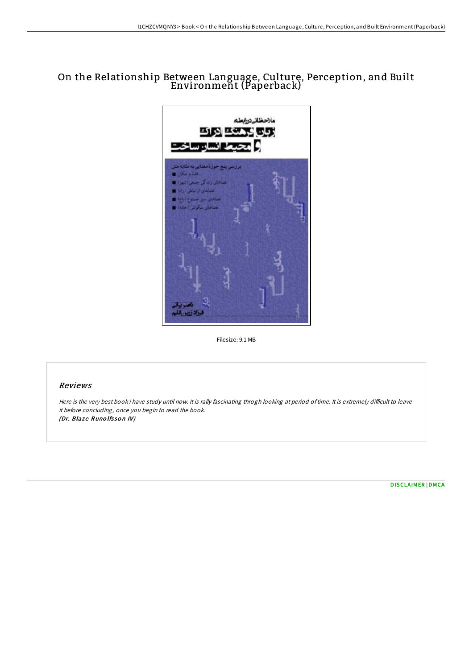# On the Relationship Between Language, Culture, Perception, and Built Environment (Paperback)



Filesize: 9.1 MB

## Reviews

Here is the very best book i have study until now. It is rally fascinating throgh looking at period of time. It is extremely difficult to leave it before concluding, once you begin to read the book. (Dr. Blaze Runolfsson IV)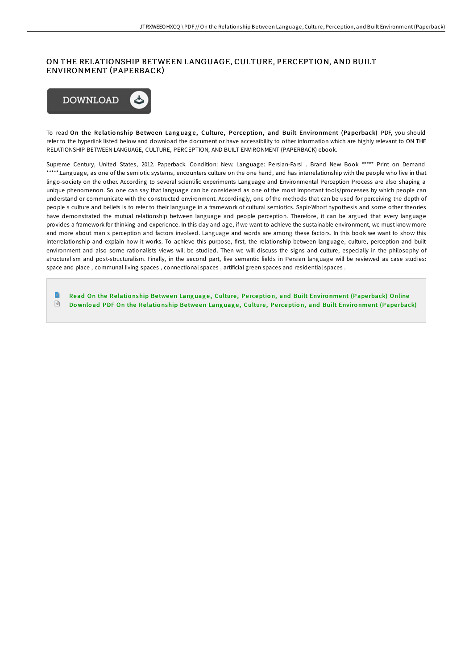## ON THE RELATIONSHIP BETWEEN LANGUAGE, CULTURE, PERCEPTION, AND BUILT ENVIRONMENT (PAPERBACK)



To read On the Relationship Between Language, Culture, Perception, and Built Environment (Paperback) PDF, you should refer to the hyperlink listed below and download the document or have accessibility to other information which are highly relevant to ON THE RELATIONSHIP BETWEEN LANGUAGE, CULTURE, PERCEPTION, AND BUILT ENVIRONMENT (PAPERBACK) ebook.

Supreme Century, United States, 2012. Paperback. Condition: New. Language: Persian-Farsi . Brand New Book \*\*\*\*\* Print on Demand \*\*\*\*\*.Language, as one of the semiotic systems, encounters culture on the one hand, and has interrelationship with the people who live in that lingo-society on the other. According to several scientific experiments Language and Environmental Perception Process are also shaping a unique phenomenon. So one can say that language can be considered as one of the most important tools/processes by which people can understand or communicate with the constructed environment. Accordingly, one of the methods that can be used for perceiving the depth of people s culture and beliefs is to refer to their language in a framework of cultural semiotics. Sapir-Whorf hypothesis and some other theories have demonstrated the mutual relationship between language and people perception. Therefore, it can be argued that every language provides a framework for thinking and experience. In this day and age, if we want to achieve the sustainable environment, we must know more and more about man s perception and factors involved. Language and words are among these factors. In this book we want to show this interrelationship and explain how it works. To achieve this purpose, first, the relationship between language, culture, perception and built environment and also some rationalists views will be studied. Then we will discuss the signs and culture, especially in the philosophy of structuralism and post-structuralism. Finally, in the second part, five semantic fields in Persian language will be reviewed as case studies: space and place , communal living spaces , connectional spaces , artificial green spaces and residential spaces .

Read On the Relationship Between Language, [Culture](http://almighty24.tech/on-the-relationship-between-language-culture-per.html), Perception, and Built Environment (Paperback) Online  $\Gamma$ Download PDF On the Relationship Between Language, [Culture](http://almighty24.tech/on-the-relationship-between-language-culture-per.html), Perception, and Built Environment (Paperback)